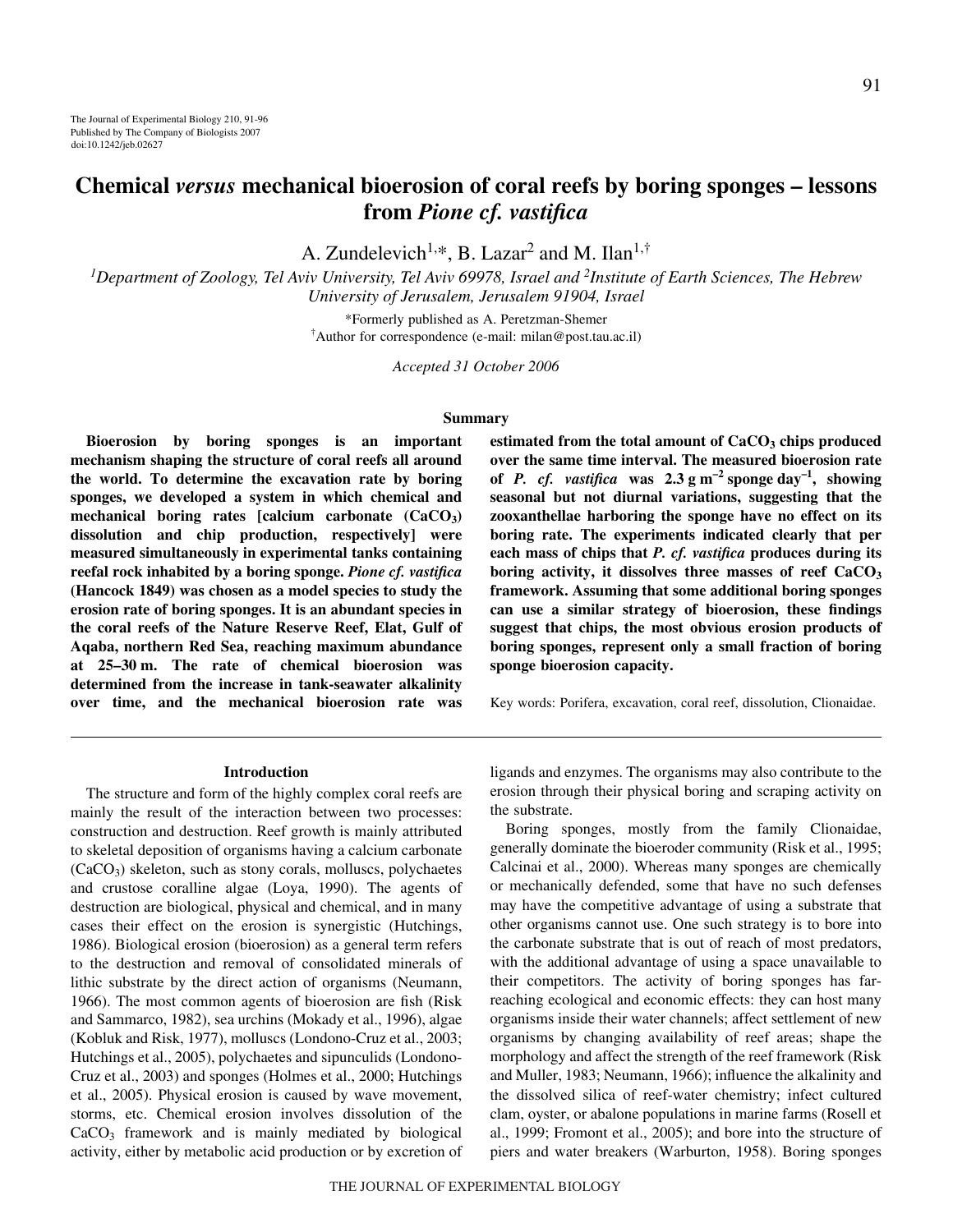# **Chemical** *versus* **mechanical bioerosion of coral reefs by boring sponges – lessons from** *Pione cf. vastifica*

A. Zundelevich<sup>1,\*</sup>, B. Lazar<sup>2</sup> and M. Ilan<sup>1,†</sup>

<sup>1</sup>Department of Zoology, Tel Aviv University, Tel Aviv 69978, Israel and <sup>2</sup>Institute of Earth Sciences, The Hebrew *University of Jerusalem, Jerusalem 91904, Israel*

> \*Formerly published as A. Peretzman-Shemer † Author for correspondence (e-mail: milan@post.tau.ac.il)

> > *Accepted 31 October 2006*

# **Summary**

**Bioerosion by boring sponges is an important mechanism shaping the structure of coral reefs all around the world. To determine the excavation rate by boring sponges, we developed a system in which chemical and mechanical boring rates [calcium carbonate (CaCO3) dissolution and chip production, respectively] were measured simultaneously in experimental tanks containing reefal rock inhabited by a boring sponge.** *Pione cf. vastifica* **(Hancock 1849) was chosen as a model species to study the erosion rate of boring sponges. It is an abundant species in the coral reefs of the Nature Reserve Reef, Elat, Gulf of Aqaba, northern Red Sea, reaching maximum abundance at 25–30·m. The rate of chemical bioerosion was determined from the increase in tank-seawater alkalinity over time, and the mechanical bioerosion rate was**

## **Introduction**

The structure and form of the highly complex coral reefs are mainly the result of the interaction between two processes: construction and destruction. Reef growth is mainly attributed to skeletal deposition of organisms having a calcium carbonate  $(CaCO<sub>3</sub>)$  skeleton, such as stony corals, molluscs, polychaetes and crustose coralline algae (Loya, 1990). The agents of destruction are biological, physical and chemical, and in many cases their effect on the erosion is synergistic (Hutchings, 1986). Biological erosion (bioerosion) as a general term refers to the destruction and removal of consolidated minerals of lithic substrate by the direct action of organisms (Neumann, 1966). The most common agents of bioerosion are fish (Risk and Sammarco, 1982), sea urchins (Mokady et al., 1996), algae (Kobluk and Risk, 1977), molluscs (Londono-Cruz et al., 2003; Hutchings et al., 2005), polychaetes and sipunculids (Londono-Cruz et al., 2003) and sponges (Holmes et al., 2000; Hutchings et al., 2005). Physical erosion is caused by wave movement, storms, etc. Chemical erosion involves dissolution of the  $CaCO<sub>3</sub>$  framework and is mainly mediated by biological activity, either by metabolic acid production or by excretion of **estimated from the total amount of CaCO3 chips produced over the same time interval. The measured bioerosion rate** of *P. cf. vastifica* was  $2.3 \text{ g m}^{-2}$  sponge day<sup>-1</sup>, showing **seasonal but not diurnal variations, suggesting that the zooxanthellae harboring the sponge have no effect on its boring rate. The experiments indicated clearly that per each mass of chips that** *P. cf. vastifica* **produces during its boring activity, it dissolves three masses of reef CaCO3 framework. Assuming that some additional boring sponges can use a similar strategy of bioerosion, these findings suggest that chips, the most obvious erosion products of boring sponges, represent only a small fraction of boring sponge bioerosion capacity.**

Key words: Porifera, excavation, coral reef, dissolution, Clionaidae.

ligands and enzymes. The organisms may also contribute to the erosion through their physical boring and scraping activity on the substrate.

Boring sponges, mostly from the family Clionaidae, generally dominate the bioeroder community (Risk et al., 1995; Calcinai et al., 2000). Whereas many sponges are chemically or mechanically defended, some that have no such defenses may have the competitive advantage of using a substrate that other organisms cannot use. One such strategy is to bore into the carbonate substrate that is out of reach of most predators, with the additional advantage of using a space unavailable to their competitors. The activity of boring sponges has farreaching ecological and economic effects: they can host many organisms inside their water channels; affect settlement of new organisms by changing availability of reef areas; shape the morphology and affect the strength of the reef framework (Risk and Muller, 1983; Neumann, 1966); influence the alkalinity and the dissolved silica of reef-water chemistry; infect cultured clam, oyster, or abalone populations in marine farms (Rosell et al., 1999; Fromont et al., 2005); and bore into the structure of piers and water breakers (Warburton, 1958). Boring sponges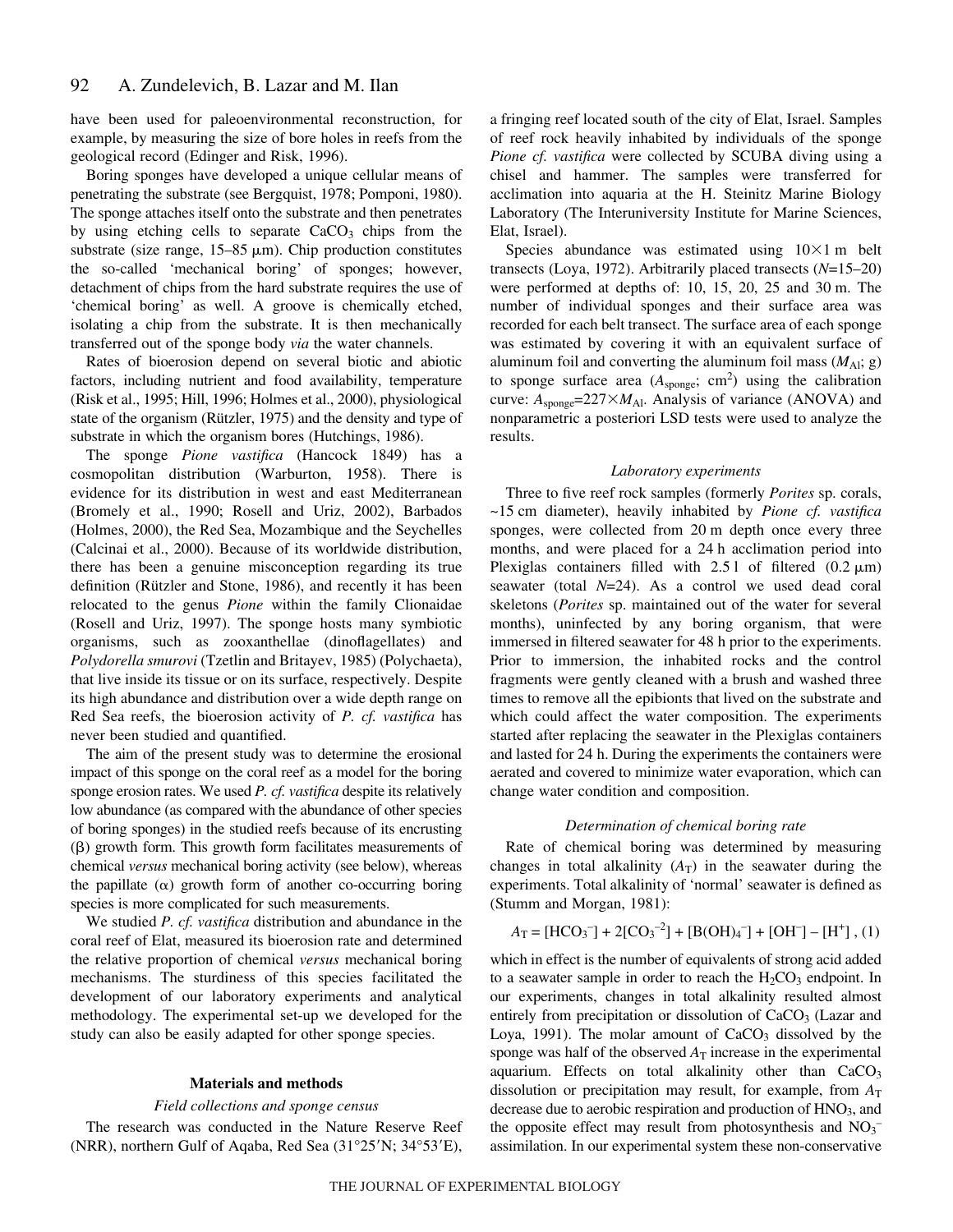have been used for paleoenvironmental reconstruction, for example, by measuring the size of bore holes in reefs from the geological record (Edinger and Risk, 1996).

Boring sponges have developed a unique cellular means of penetrating the substrate (see Bergquist, 1978; Pomponi, 1980). The sponge attaches itself onto the substrate and then penetrates by using etching cells to separate  $CaCO<sub>3</sub>$  chips from the substrate (size range,  $15-85 \mu m$ ). Chip production constitutes the so-called 'mechanical boring' of sponges; however, detachment of chips from the hard substrate requires the use of 'chemical boring' as well. A groove is chemically etched, isolating a chip from the substrate. It is then mechanically transferred out of the sponge body *via* the water channels.

Rates of bioerosion depend on several biotic and abiotic factors, including nutrient and food availability, temperature (Risk et al., 1995; Hill, 1996; Holmes et al., 2000), physiological state of the organism (Rützler, 1975) and the density and type of substrate in which the organism bores (Hutchings, 1986).

The sponge *Pione vastifica* (Hancock 1849) has a cosmopolitan distribution (Warburton, 1958). There is evidence for its distribution in west and east Mediterranean (Bromely et al., 1990; Rosell and Uriz, 2002), Barbados (Holmes, 2000), the Red Sea, Mozambique and the Seychelles (Calcinai et al., 2000). Because of its worldwide distribution, there has been a genuine misconception regarding its true definition (Rützler and Stone, 1986), and recently it has been relocated to the genus *Pione* within the family Clionaidae (Rosell and Uriz, 1997). The sponge hosts many symbiotic organisms, such as zooxanthellae (dinoflagellates) and *Polydorella smurovi* (Tzetlin and Britayev, 1985) (Polychaeta), that live inside its tissue or on its surface, respectively. Despite its high abundance and distribution over a wide depth range on Red Sea reefs, the bioerosion activity of *P. cf. vastifica* has never been studied and quantified.

The aim of the present study was to determine the erosional impact of this sponge on the coral reef as a model for the boring sponge erosion rates. We used *P. cf. vastifica* despite its relatively low abundance (as compared with the abundance of other species of boring sponges) in the studied reefs because of its encrusting  $(\beta)$  growth form. This growth form facilitates measurements of chemical *versus* mechanical boring activity (see below), whereas the papillate  $(\alpha)$  growth form of another co-occurring boring species is more complicated for such measurements.

We studied *P. cf. vastifica* distribution and abundance in the coral reef of Elat, measured its bioerosion rate and determined the relative proportion of chemical *versus* mechanical boring mechanisms. The sturdiness of this species facilitated the development of our laboratory experiments and analytical methodology. The experimental set-up we developed for the study can also be easily adapted for other sponge species.

#### **Materials and methods**

# *Field collections and sponge census*

The research was conducted in the Nature Reserve Reef (NRR), northern Gulf of Aqaba, Red Sea  $(31^{\circ}25'N; 34^{\circ}53'E)$ , a fringing reef located south of the city of Elat, Israel. Samples of reef rock heavily inhabited by individuals of the sponge *Pione cf. vastifica* were collected by SCUBA diving using a chisel and hammer. The samples were transferred for acclimation into aquaria at the H. Steinitz Marine Biology Laboratory (The Interuniversity Institute for Marine Sciences, Elat, Israel).

Species abundance was estimated using  $10\times1$  m belt transects (Loya, 1972). Arbitrarily placed transects (*N*=15–20) were performed at depths of:  $10$ ,  $15$ ,  $20$ ,  $25$  and  $30$  m. The number of individual sponges and their surface area was recorded for each belt transect. The surface area of each sponge was estimated by covering it with an equivalent surface of aluminum foil and converting the aluminum foil mass  $(M_{\text{Al}}; g)$ to sponge surface area  $(A_{\text{sponge}}; \text{ cm}^2)$  using the calibration curve:  $A_{\text{sponge}} = 227 \times M_{\text{Al}}$ . Analysis of variance (ANOVA) and nonparametric a posteriori LSD tests were used to analyze the results.

#### *Laboratory experiments*

Three to five reef rock samples (formerly *Porites* sp. corals, ~15·cm diameter), heavily inhabited by *Pione cf. vastifica* sponges, were collected from 20 m depth once every three months, and were placed for a 24 h acclimation period into Plexiglas containers filled with  $2.51$  of filtered  $(0.2 \mu m)$ seawater (total *N*=24). As a control we used dead coral skeletons (*Porites* sp. maintained out of the water for several months), uninfected by any boring organism, that were immersed in filtered seawater for 48 h prior to the experiments. Prior to immersion, the inhabited rocks and the control fragments were gently cleaned with a brush and washed three times to remove all the epibionts that lived on the substrate and which could affect the water composition. The experiments started after replacing the seawater in the Plexiglas containers and lasted for 24 h. During the experiments the containers were aerated and covered to minimize water evaporation, which can change water condition and composition.

#### *Determination of chemical boring rate*

Rate of chemical boring was determined by measuring changes in total alkalinity  $(A_T)$  in the seawater during the experiments. Total alkalinity of 'normal' seawater is defined as (Stumm and Morgan, 1981):

$$
A_{\rm T} = [\rm HCO_3^-] + 2[\rm CO_3^{-2}] + [B(OH)_4^-] + [OH^-] - [H^+], (1)
$$

which in effect is the number of equivalents of strong acid added to a seawater sample in order to reach the  $H_2CO_3$  endpoint. In our experiments, changes in total alkalinity resulted almost entirely from precipitation or dissolution of  $CaCO<sub>3</sub>$  (Lazar and Loya, 1991). The molar amount of  $CaCO<sub>3</sub>$  dissolved by the sponge was half of the observed  $A_T$  increase in the experimental aquarium. Effects on total alkalinity other than  $CaCO<sub>3</sub>$ dissolution or precipitation may result, for example, from  $A<sub>T</sub>$ decrease due to aerobic respiration and production of HNO<sub>3</sub>, and the opposite effect may result from photosynthesis and  $NO<sub>3</sub>$ <sup>-</sup> assimilation. In our experimental system these non-conservative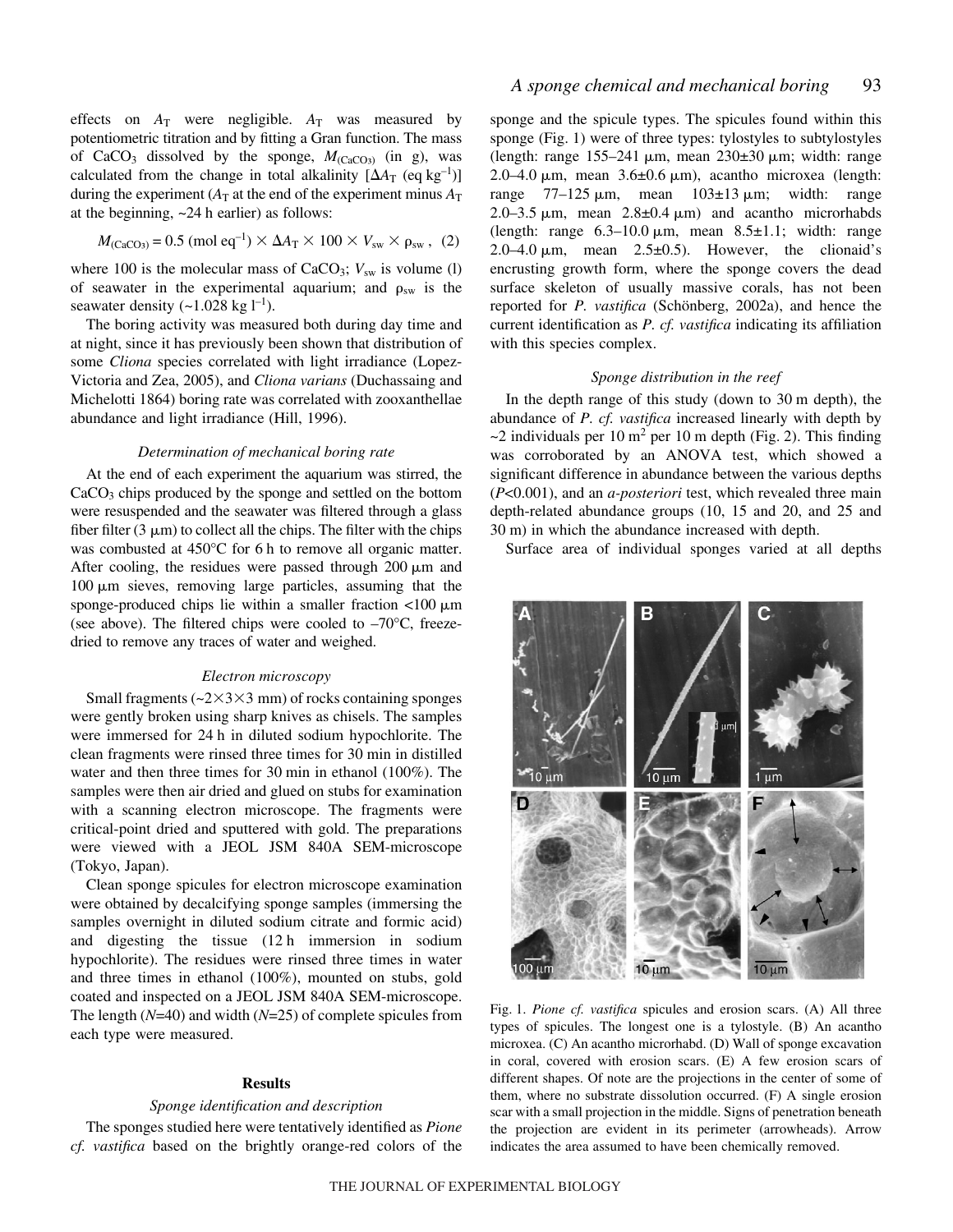effects on  $A_T$  were negligible.  $A_T$  was measured by potentiometric titration and by fitting a Gran function. The mass of CaCO<sub>3</sub> dissolved by the sponge,  $M_{\text{(CaCO3)}}$  (in g), was calculated from the change in total alkalinity  $[\Delta A_T (eq \text{ kg}^{-1})]$ during the experiment ( $A_T$  at the end of the experiment minus  $A_T$ at the beginning,  $\sim$  24 h earlier) as follows:

$$
M_{\text{(CaCO3)}} = 0.5 \text{ (mol eq}^{-1}) \times \Delta A_{\text{T}} \times 100 \times V_{\text{sw}} \times \rho_{\text{sw}} , \text{ (2)}
$$

where 100 is the molecular mass of CaCO<sub>3</sub>;  $V_{sw}$  is volume (l) of seawater in the experimental aquarium; and  $\rho_{sw}$  is the seawater density  $(-1.028 \text{ kg } l^{-1})$ .

The boring activity was measured both during day time and at night, since it has previously been shown that distribution of some *Cliona* species correlated with light irradiance (Lopez-Victoria and Zea, 2005), and *Cliona varians* (Duchassaing and Michelotti 1864) boring rate was correlated with zooxanthellae abundance and light irradiance (Hill, 1996).

# *Determination of mechanical boring rate*

At the end of each experiment the aquarium was stirred, the  $CaCO<sub>3</sub>$  chips produced by the sponge and settled on the bottom were resuspended and the seawater was filtered through a glass fiber filter  $(3 \mu m)$  to collect all the chips. The filter with the chips was combusted at  $450^{\circ}$ C for 6 h to remove all organic matter. After cooling, the residues were passed through  $200 \mu m$  and  $100 \mu m$  sieves, removing large particles, assuming that the sponge-produced chips lie within a smaller fraction  $\langle 100 \mu m$ (see above). The filtered chips were cooled to  $-70^{\circ}$ C, freezedried to remove any traces of water and weighed.

#### *Electron microscopy*

Small fragments ( $\approx$ 2 $\times$ 3 $\times$ 3 mm) of rocks containing sponges were gently broken using sharp knives as chisels. The samples were immersed for 24 h in diluted sodium hypochlorite. The clean fragments were rinsed three times for 30 min in distilled water and then three times for 30 min in ethanol  $(100\%)$ . The samples were then air dried and glued on stubs for examination with a scanning electron microscope. The fragments were critical-point dried and sputtered with gold. The preparations were viewed with a JEOL JSM 840A SEM-microscope (Tokyo, Japan).

Clean sponge spicules for electron microscope examination were obtained by decalcifying sponge samples (immersing the samples overnight in diluted sodium citrate and formic acid) and digesting the tissue  $(12 h)$  immersion in sodium hypochlorite). The residues were rinsed three times in water and three times in ethanol (100%), mounted on stubs, gold coated and inspected on a JEOL JSM 840A SEM-microscope. The length (*N*=40) and width (*N*=25) of complete spicules from each type were measured.

# **Results**

# *Sponge identification and description*

The sponges studied here were tentatively identified as *Pione cf. vastifica* based on the brightly orange-red colors of the sponge and the spicule types. The spicules found within this sponge (Fig. 1) were of three types: tylostyles to subtylostyles (length: range  $155-241 \mu m$ , mean  $230\pm30 \mu m$ ; width: range  $2.0-4.0 \mu m$ , mean  $3.6 \pm 0.6 \mu m$ ), acantho microxea (length: range  $77-125 \mu m$ , mean  $103\pm 13 \mu m$ ; width: range 2.0–3.5  $\mu$ m, mean 2.8 $\pm$ 0.4  $\mu$ m) and acantho microrhabds (length: range  $6.3-10.0 \mu m$ , mean  $8.5\pm1.1$ ; width: range 2.0–4.0  $\mu$ m, mean 2.5 $\pm$ 0.5). However, the clionaid's encrusting growth form, where the sponge covers the dead surface skeleton of usually massive corals, has not been reported for *P. vastifica* (Schönberg, 2002a), and hence the current identification as *P. cf. vastifica* indicating its affiliation with this species complex.

# *Sponge distribution in the reef*

In the depth range of this study (down to  $30 \text{ m}$  depth), the abundance of *P. cf. vastifica* increased linearly with depth by  $\sim$ 2 individuals per 10 m<sup>2</sup> per 10 m depth (Fig. 2). This finding was corroborated by an ANOVA test, which showed a significant difference in abundance between the various depths (*P*<0.001), and an *a-posteriori* test, which revealed three main depth-related abundance groups (10, 15 and 20, and 25 and 30 m) in which the abundance increased with depth.

Surface area of individual sponges varied at all depths



Fig. 1. *Pione cf. vastifica* spicules and erosion scars. (A) All three types of spicules. The longest one is a tylostyle. (B) An acantho microxea. (C) An acantho microrhabd. (D) Wall of sponge excavation in coral, covered with erosion scars. (E) A few erosion scars of different shapes. Of note are the projections in the center of some of them, where no substrate dissolution occurred. (F) A single erosion scar with a small projection in the middle. Signs of penetration beneath the projection are evident in its perimeter (arrowheads). Arrow indicates the area assumed to have been chemically removed.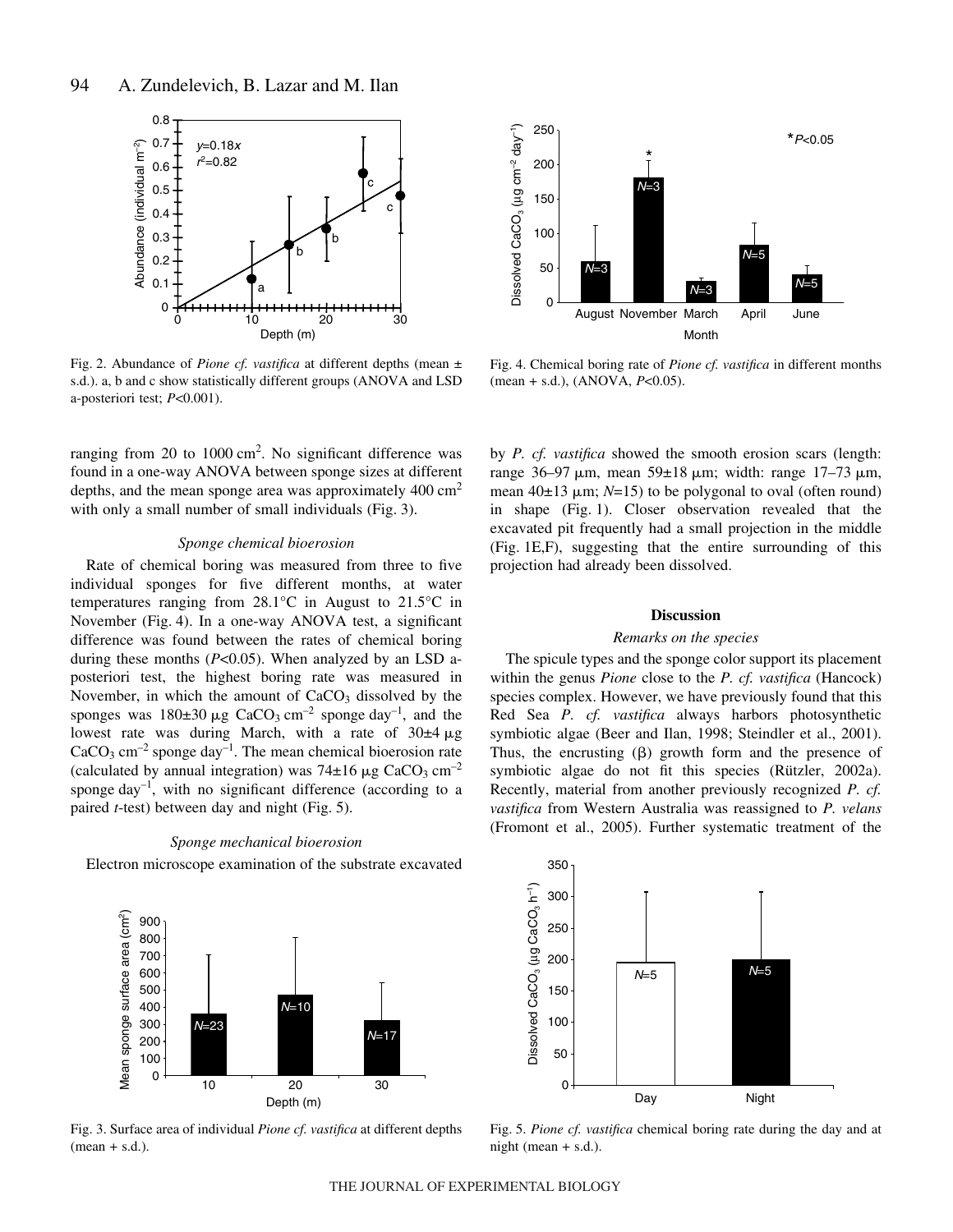

Fig. 2. Abundance of *Pione cf. vastifica* at different depths (mean  $\pm$ s.d.). a, b and c show statistically different groups (ANOVA and LSD a-posteriori test; *P*<0.001).

ranging from 20 to  $1000 \text{ cm}^2$ . No significant difference was found in a one-way ANOVA between sponge sizes at different depths, and the mean sponge area was approximately  $400 \text{ cm}^2$ with only a small number of small individuals (Fig. 3).

# *Sponge chemical bioerosion*

Rate of chemical boring was measured from three to five individual sponges for five different months, at water temperatures ranging from 28.1°C in August to 21.5°C in November (Fig. 4). In a one-way ANOVA test, a significant difference was found between the rates of chemical boring during these months (*P*<0.05). When analyzed by an LSD aposteriori test, the highest boring rate was measured in November, in which the amount of  $CaCO<sub>3</sub>$  dissolved by the sponges was  $180\pm30 \mu g$  CaCO<sub>3</sub> cm<sup>-2</sup> sponge day<sup>-1</sup>, and the lowest rate was during March, with a rate of  $30\pm4 \,\mu$ g  $CaCO<sub>3</sub> cm<sup>-2</sup>$  sponge day<sup>-1</sup>. The mean chemical bioerosion rate (calculated by annual integration) was  $74\pm16~\mu$ g CaCO<sub>3</sub> cm<sup>-2</sup> sponge  $day^{-1}$ , with no significant difference (according to a paired  $t$ -test) between day and night (Fig. 5).

# *Sponge mechanical bioerosion*

Electron microscope examination of the substrate excavated



Fig. 3. Surface area of individual *Pione cf. vastifica* at different depths  $(\text{mean} + \text{s.d.}).$ 



Fig. 4. Chemical boring rate of *Pione cf. vastifica* in different months (mean + s.d.), (ANOVA, *P*<0.05).

by *P. cf. vastifica* showed the smooth erosion scars (length: range 36–97  $\mu$ m, mean 59±18  $\mu$ m; width: range 17–73  $\mu$ m, mean  $40\pm 13$   $\mu$ m;  $N=15$ ) to be polygonal to oval (often round) in shape (Fig. 1). Closer observation revealed that the excavated pit frequently had a small projection in the middle (Fig. 1E,F), suggesting that the entire surrounding of this projection had already been dissolved.

## **Discussion**

#### *Remarks on the species*

The spicule types and the sponge color support its placement within the genus *Pione* close to the *P. cf. vastifica* (Hancock) species complex. However, we have previously found that this Red Sea *P. cf. vastifica* always harbors photosynthetic symbiotic algae (Beer and Ilan, 1998; Steindler et al., 2001). Thus, the encrusting  $(\beta)$  growth form and the presence of symbiotic algae do not fit this species (Rützler, 2002a). Recently, material from another previously recognized *P. cf. vastifica* from Western Australia was reassigned to *P. velans* (Fromont et al., 2005). Further systematic treatment of the



Fig. 5. Pione cf. vastifica chemical boring rate during the day and at night (mean  $+ s.d.$ ).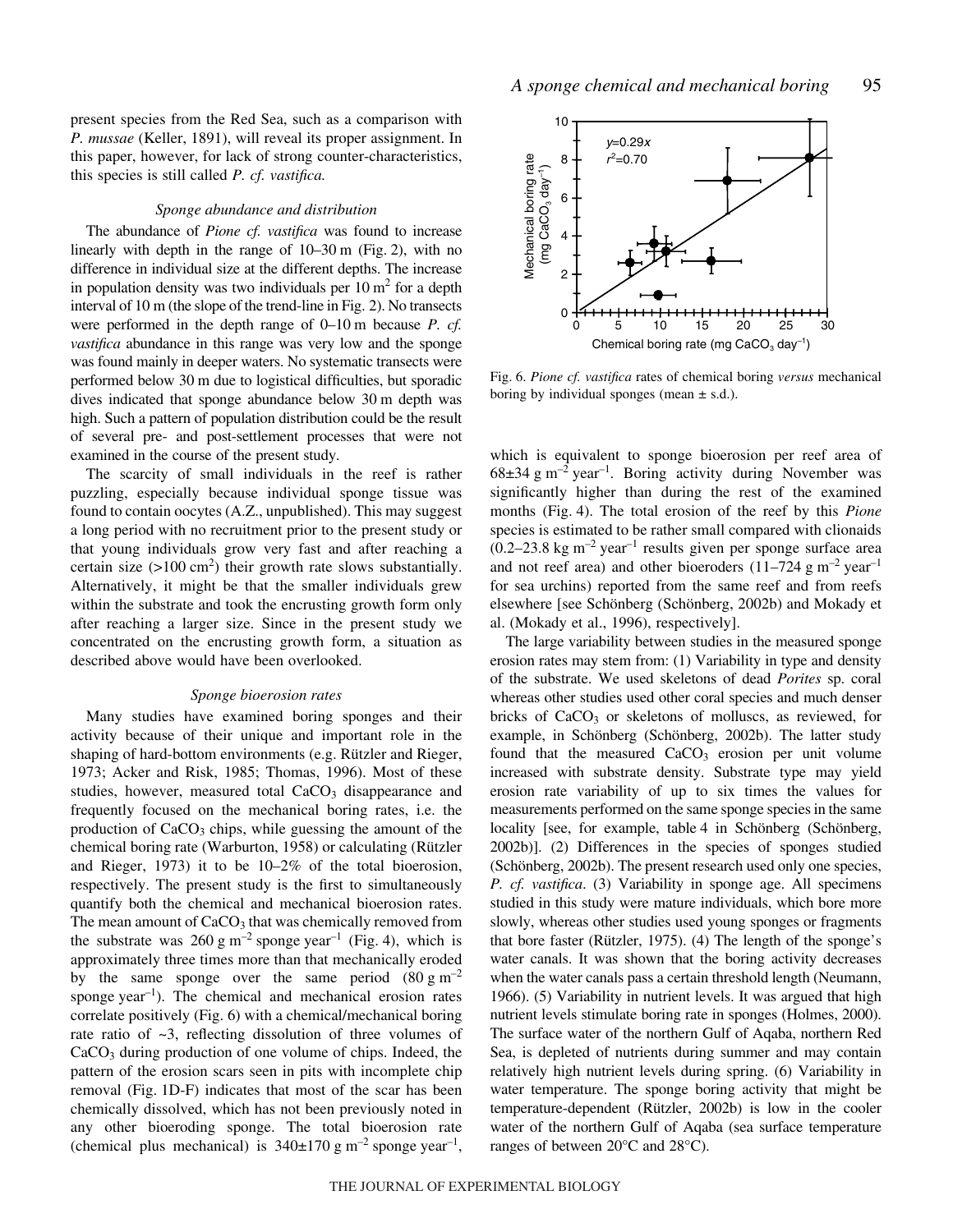present species from the Red Sea, such as a comparison with *P. mussae* (Keller, 1891), will reveal its proper assignment. In this paper, however, for lack of strong counter-characteristics, this species is still called *P. cf. vastifica.*

#### *Sponge abundance and distribution*

The abundance of *Pione cf. vastifica* was found to increase linearly with depth in the range of  $10-30$  m (Fig. 2), with no difference in individual size at the different depths. The increase in population density was two individuals per  $10 \text{ m}^2$  for a depth interval of  $10 \text{ m}$  (the slope of the trend-line in Fig. 2). No transects were performed in the depth range of 0–10 m because *P. cf. vastifica* abundance in this range was very low and the sponge was found mainly in deeper waters. No systematic transects were performed below 30 m due to logistical difficulties, but sporadic dives indicated that sponge abundance below 30 m depth was high. Such a pattern of population distribution could be the result of several pre- and post-settlement processes that were not examined in the course of the present study.

The scarcity of small individuals in the reef is rather puzzling, especially because individual sponge tissue was found to contain oocytes (A.Z., unpublished). This may suggest a long period with no recruitment prior to the present study or that young individuals grow very fast and after reaching a certain size  $(>100 \text{ cm}^2)$  their growth rate slows substantially. Alternatively, it might be that the smaller individuals grew within the substrate and took the encrusting growth form only after reaching a larger size. Since in the present study we concentrated on the encrusting growth form, a situation as described above would have been overlooked.

# *Sponge bioerosion rates*

Many studies have examined boring sponges and their activity because of their unique and important role in the shaping of hard-bottom environments (e.g. Rützler and Rieger, 1973; Acker and Risk, 1985; Thomas, 1996). Most of these studies, however, measured total  $CaCO<sub>3</sub>$  disappearance and frequently focused on the mechanical boring rates, i.e. the production of  $CaCO<sub>3</sub>$  chips, while guessing the amount of the chemical boring rate (Warburton, 1958) or calculating (Rützler and Rieger, 1973) it to be 10–2% of the total bioerosion, respectively. The present study is the first to simultaneously quantify both the chemical and mechanical bioerosion rates. The mean amount of CaCO<sub>3</sub> that was chemically removed from the substrate was  $260~\text{g m}^{-2}$  sponge year<sup>-1</sup> (Fig. 4), which is approximately three times more than that mechanically eroded by the same sponge over the same period  $(80 \text{ g m}^{-2})$ sponge  $year^{-1}$ ). The chemical and mechanical erosion rates correlate positively (Fig. 6) with a chemical/mechanical boring rate ratio of  $\sim$ 3, reflecting dissolution of three volumes of  $CaCO<sub>3</sub>$  during production of one volume of chips. Indeed, the pattern of the erosion scars seen in pits with incomplete chip removal (Fig. 1D-F) indicates that most of the scar has been chemically dissolved, which has not been previously noted in any other bioeroding sponge. The total bioerosion rate (chemical plus mechanical) is  $340\pm170~\text{g m}^{-2}$  sponge year<sup>-1</sup>,



Fig. 6. Pione cf. vastifica rates of chemical boring versus mechanical boring by individual sponges (mean  $\pm$  s.d.).

which is equivalent to sponge bioerosion per reef area of  $68\pm34$  g m<sup>-2</sup> year<sup>-1</sup>. Boring activity during November was significantly higher than during the rest of the examined months (Fig. 4). The total erosion of the reef by this *Pione* species is estimated to be rather small compared with clionaids  $(0.2-23.8 \text{ kg m}^{-2} \text{ year}^{-1}$  results given per sponge surface area and not reef area) and other bioeroders  $(11–724 \text{ g m}^{-2} \text{ year}^{-1})$ for sea urchins) reported from the same reef and from reefs elsewhere [see Schönberg (Schönberg, 2002b) and Mokady et al. (Mokady et al., 1996), respectively].

The large variability between studies in the measured sponge erosion rates may stem from: (1) Variability in type and density of the substrate. We used skeletons of dead *Porites* sp. coral whereas other studies used other coral species and much denser bricks of CaCO<sub>3</sub> or skeletons of molluscs, as reviewed, for example, in Schönberg (Schönberg, 2002b). The latter study found that the measured  $CaCO<sub>3</sub>$  erosion per unit volume increased with substrate density. Substrate type may yield erosion rate variability of up to six times the values for measurements performed on the same sponge species in the same locality [see, for example, table 4 in Schönberg (Schönberg, 2002b)]. (2) Differences in the species of sponges studied (Schönberg, 2002b). The present research used only one species, *P. cf. vastifica*. (3) Variability in sponge age. All specimens studied in this study were mature individuals, which bore more slowly, whereas other studies used young sponges or fragments that bore faster (Rützler, 1975). (4) The length of the sponge's water canals. It was shown that the boring activity decreases when the water canals pass a certain threshold length (Neumann, 1966). (5) Variability in nutrient levels. It was argued that high nutrient levels stimulate boring rate in sponges (Holmes, 2000). The surface water of the northern Gulf of Aqaba, northern Red Sea, is depleted of nutrients during summer and may contain relatively high nutrient levels during spring. (6) Variability in water temperature. The sponge boring activity that might be temperature-dependent (Rützler, 2002b) is low in the cooler water of the northern Gulf of Aqaba (sea surface temperature ranges of between 20°C and 28°C).